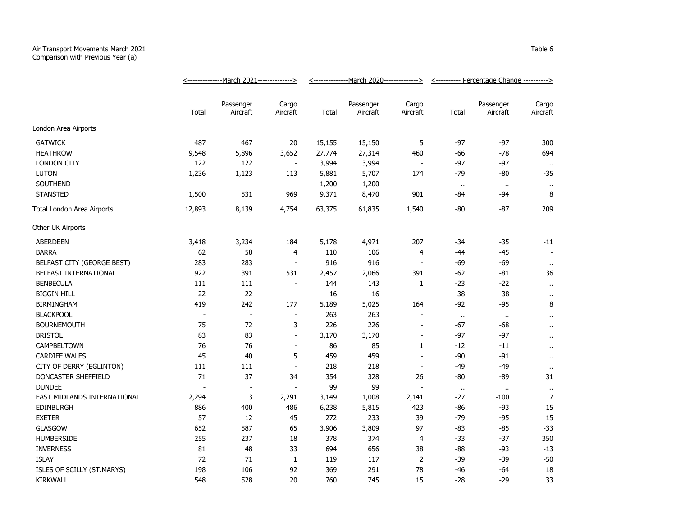## Air Transport Movements March 2021

Comparison with Previous Year (a)

|                             | -March 2021--------------><br><------------- |                          |                          | -March 2020--------------><br><------------- |                       |                          | <---------- Percentage Change ----------> |                       |                      |
|-----------------------------|----------------------------------------------|--------------------------|--------------------------|----------------------------------------------|-----------------------|--------------------------|-------------------------------------------|-----------------------|----------------------|
|                             | Total                                        | Passenger<br>Aircraft    | Cargo<br>Aircraft        | Total                                        | Passenger<br>Aircraft | Cargo<br>Aircraft        | Total                                     | Passenger<br>Aircraft | Cargo<br>Aircraft    |
| London Area Airports        |                                              |                          |                          |                                              |                       |                          |                                           |                       |                      |
| <b>GATWICK</b>              | 487                                          | 467                      | 20                       | 15,155                                       | 15,150                | 5                        | $-97$                                     | -97                   | 300                  |
| <b>HEATHROW</b>             | 9,548                                        | 5,896                    | 3,652                    | 27,774                                       | 27,314                | 460                      | -66                                       | $-78$                 | 694                  |
| <b>LONDON CITY</b>          | 122                                          | 122                      | $\blacksquare$           | 3,994                                        | 3,994                 | $\overline{\phantom{a}}$ | $-97$                                     | $-97$                 | $\sim$               |
| <b>LUTON</b>                | 1,236                                        | 1,123                    | 113                      | 5,881                                        | 5,707                 | 174                      | $-79$                                     | -80                   | $-35$                |
| <b>SOUTHEND</b>             |                                              | $\overline{a}$           | $\overline{\phantom{a}}$ | 1,200                                        | 1,200                 | $\overline{\phantom{a}}$ | $\ddot{\phantom{1}}$                      | $\cdot$ .             | $\cdot$ .            |
| <b>STANSTED</b>             | 1,500                                        | 531                      | 969                      | 9,371                                        | 8,470                 | 901                      | $-84$                                     | $-94$                 | 8                    |
| Total London Area Airports  | 12,893                                       | 8,139                    | 4,754                    | 63,375                                       | 61,835                | 1,540                    | -80                                       | -87                   | 209                  |
| Other UK Airports           |                                              |                          |                          |                                              |                       |                          |                                           |                       |                      |
| <b>ABERDEEN</b>             | 3,418                                        | 3,234                    | 184                      | 5,178                                        | 4,971                 | 207                      | $-34$                                     | $-35$                 | $-11$                |
| <b>BARRA</b>                | 62                                           | 58                       | $\overline{4}$           | 110                                          | 106                   | $\overline{4}$           | $-44$                                     | $-45$                 |                      |
| BELFAST CITY (GEORGE BEST)  | 283                                          | 283                      | $\overline{\phantom{a}}$ | 916                                          | 916                   | $\blacksquare$           | -69                                       | $-69$                 | $\bullet\bullet$     |
| BELFAST INTERNATIONAL       | 922                                          | 391                      | 531                      | 2,457                                        | 2,066                 | 391                      | -62                                       | $-81$                 | 36                   |
| <b>BENBECULA</b>            | 111                                          | 111                      | $\blacksquare$           | 144                                          | 143                   | $\mathbf{1}$             | $-23$                                     | -22                   | $\bullet$ .          |
| <b>BIGGIN HILL</b>          | 22                                           | 22                       | $\blacksquare$           | 16                                           | 16                    | $\overline{a}$           | 38                                        | 38                    | $\ddot{\phantom{1}}$ |
| <b>BIRMINGHAM</b>           | 419                                          | 242                      | 177                      | 5,189                                        | 5,025                 | 164                      | -92                                       | $-95$                 | 8                    |
| <b>BLACKPOOL</b>            | $\overline{\phantom{a}}$                     | $\overline{\phantom{a}}$ | ÷,                       | 263                                          | 263                   | $\overline{a}$           | $\bullet$                                 | $\ddot{\phantom{1}}$  | $\ddot{\phantom{1}}$ |
| <b>BOURNEMOUTH</b>          | 75                                           | 72                       | 3                        | 226                                          | 226                   | $\blacksquare$           | $-67$                                     | $-68$                 | $\ddot{\phantom{1}}$ |
| <b>BRISTOL</b>              | 83                                           | 83                       | $\blacksquare$           | 3,170                                        | 3,170                 | $\blacksquare$           | $-97$                                     | $-97$                 | ò.                   |
| <b>CAMPBELTOWN</b>          | 76                                           | 76                       | $\blacksquare$           | 86                                           | 85                    | 1                        | $-12$                                     | $-11$                 | $\ddot{\phantom{1}}$ |
| <b>CARDIFF WALES</b>        | 45                                           | 40                       | 5                        | 459                                          | 459                   | $\blacksquare$           | $-90$                                     | $-91$                 | $\bullet$ .          |
| CITY OF DERRY (EGLINTON)    | 111                                          | 111                      | $\overline{\phantom{a}}$ | 218                                          | 218                   | $\overline{\phantom{a}}$ | -49                                       | $-49$                 | $\ddot{\phantom{a}}$ |
| DONCASTER SHEFFIELD         | 71                                           | 37                       | 34                       | 354                                          | 328                   | 26                       | $-80$                                     | $-89$                 | 31                   |
| <b>DUNDEE</b>               |                                              | $\blacksquare$           | $\blacksquare$           | 99                                           | 99                    | $\overline{a}$           | $\bullet$ .                               | $\cdot$ .             | $\cdot$              |
| EAST MIDLANDS INTERNATIONAL | 2,294                                        | 3                        | 2,291                    | 3,149                                        | 1,008                 | 2,141                    | -27                                       | $-100$                | $\overline{7}$       |
| <b>EDINBURGH</b>            | 886                                          | 400                      | 486                      | 6,238                                        | 5,815                 | 423                      | -86                                       | -93                   | 15                   |
| <b>EXETER</b>               | 57                                           | 12                       | 45                       | 272                                          | 233                   | 39                       | $-79$                                     | $-95$                 | 15                   |
| <b>GLASGOW</b>              | 652                                          | 587                      | 65                       | 3,906                                        | 3,809                 | 97                       | $-83$                                     | $-85$                 | $-33$                |
| <b>HUMBERSIDE</b>           | 255                                          | 237                      | 18                       | 378                                          | 374                   | $\overline{4}$           | $-33$                                     | $-37$                 | 350                  |
| <b>INVERNESS</b>            | 81                                           | 48                       | 33                       | 694                                          | 656                   | 38                       | $-88$                                     | $-93$                 | $-13$                |
| <b>ISLAY</b>                | 72                                           | 71                       | $\mathbf{1}$             | 119                                          | 117                   | $\overline{2}$           | $-39$                                     | $-39$                 | $-50$                |
| ISLES OF SCILLY (ST.MARYS)  | 198                                          | 106                      | 92                       | 369                                          | 291                   | 78                       | -46                                       | -64                   | 18                   |
| KIRKWALL                    | 548                                          | 528                      | 20                       | 760                                          | 745                   | 15                       | $-28$                                     | $-29$                 | 33                   |